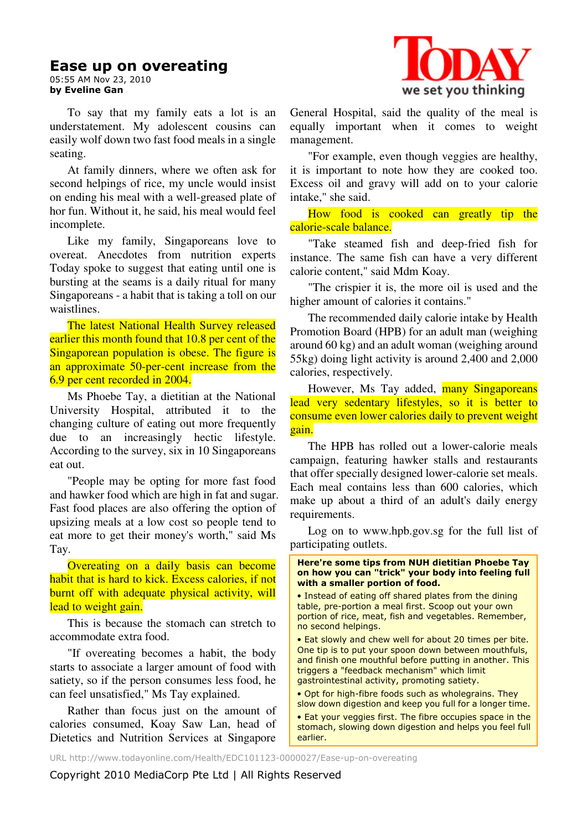### **Ease up on overeating**

05:55 AM Nov 23, 2010 **by Eveline Gan** 

To say that my family eats a lot is an understatement. My adolescent cousins can easily wolf down two fast food meals in a single seating.

At family dinners, where we often ask for second helpings of rice, my uncle would insist on ending his meal with a well-greased plate of hor fun. Without it, he said, his meal would feel incomplete.

Like my family, Singaporeans love to overeat. Anecdotes from nutrition experts Today spoke to suggest that eating until one is bursting at the seams is a daily ritual for many Singaporeans - a habit that is taking a toll on our waistlines.

The latest National Health Survey released earlier this month found that 10.8 per cent of the Singaporean population is obese. The figure is an approximate 50-per-cent increase from the 6.9 per cent recorded in 2004.

Ms Phoebe Tay, a dietitian at the National University Hospital, attributed it to the changing culture of eating out more frequently due to an increasingly hectic lifestyle. According to the survey, six in 10 Singaporeans eat out.

"People may be opting for more fast food and hawker food which are high in fat and sugar. Fast food places are also offering the option of upsizing meals at a low cost so people tend to eat more to get their money's worth," said Ms Tay.

Overeating on a daily basis can become habit that is hard to kick. Excess calories, if not burnt off with adequate physical activity, will lead to weight gain.

This is because the stomach can stretch to accommodate extra food.

"If overeating becomes a habit, the body starts to associate a larger amount of food with satiety, so if the person consumes less food, he can feel unsatisfied," Ms Tay explained.

Rather than focus just on the amount of calories consumed, Koay Saw Lan, head of Dietetics and Nutrition Services at Singapore



General Hospital, said the quality of the meal is equally important when it comes to weight management.

"For example, even though veggies are healthy, it is important to note how they are cooked too. Excess oil and gravy will add on to your calorie intake," she said.

How food is cooked can greatly tip the calorie-scale balance.

"Take steamed fish and deep-fried fish for instance. The same fish can have a very different calorie content," said Mdm Koay.

"The crispier it is, the more oil is used and the higher amount of calories it contains."

The recommended daily calorie intake by Health Promotion Board (HPB) for an adult man (weighing around 60 kg) and an adult woman (weighing around 55kg) doing light activity is around 2,400 and 2,000 calories, respectively.

However, Ms Tay added, many Singaporeans lead very sedentary lifestyles, so it is better to consume even lower calories daily to prevent weight gain.

The HPB has rolled out a lower-calorie meals campaign, featuring hawker stalls and restaurants that offer specially designed lower-calorie set meals. Each meal contains less than 600 calories, which make up about a third of an adult's daily energy requirements.

Log on to www.hpb.gov.sg for the full list of participating outlets.

**Here're some tips from NUH dietitian Phoebe Tay on how you can "trick" your body into feeling full with a smaller portion of food.** 

• Instead of eating off shared plates from the dining table, pre-portion a meal first. Scoop out your own portion of rice, meat, fish and vegetables. Remember, no second helpings.

• Eat slowly and chew well for about 20 times per bite. One tip is to put your spoon down between mouthfuls, and finish one mouthful before putting in another. This triggers a "feedback mechanism" which limit gastrointestinal activity, promoting satiety.

• Opt for high-fibre foods such as wholegrains. They slow down digestion and keep you full for a longer time.

• Eat your veggies first. The fibre occupies space in the stomach, slowing down digestion and helps you feel full earlier.

URL http://www.todayonline.com/Health/EDC101123-0000027/Ease-up-on-overeating